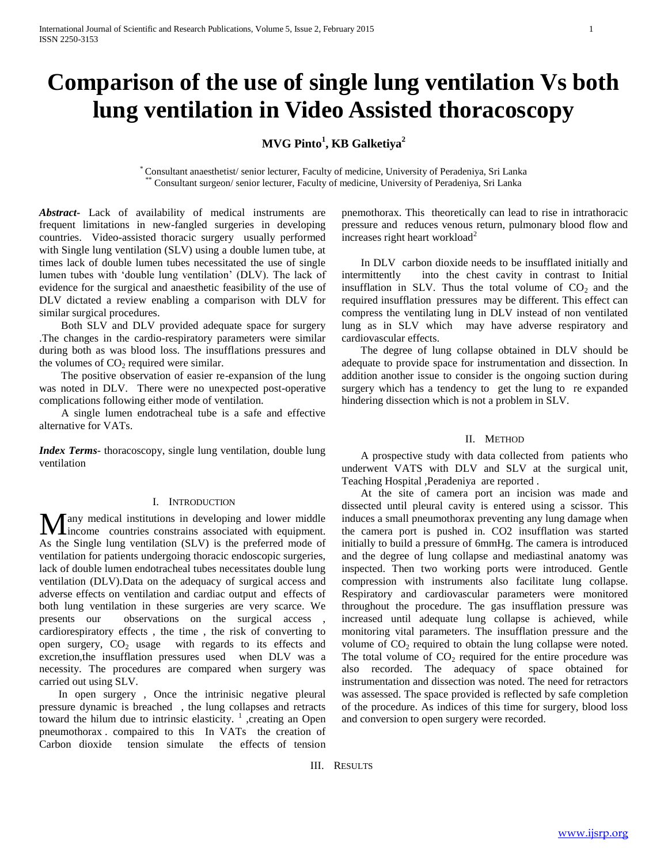# **Comparison of the use of single lung ventilation Vs both lung ventilation in Video Assisted thoracoscopy**

# **MVG Pinto<sup>1</sup> , KB Galketiya<sup>2</sup>**

\* Consultant anaesthetist/ senior lecturer, Faculty of medicine, University of Peradeniya, Sri Lanka \*\* Consultant surgeon/ senior lecturer, Faculty of medicine, University of Peradeniya, Sri Lanka

*Abstract***-** Lack of availability of medical instruments are frequent limitations in new-fangled surgeries in developing countries. Video-assisted thoracic surgery usually performed with Single lung ventilation (SLV) using a double lumen tube, at times lack of double lumen tubes necessitated the use of single lumen tubes with 'double lung ventilation' (DLV). The lack of evidence for the surgical and anaesthetic feasibility of the use of DLV dictated a review enabling a comparison with DLV for similar surgical procedures.

 Both SLV and DLV provided adequate space for surgery .The changes in the cardio-respiratory parameters were similar during both as was blood loss. The insufflations pressures and the volumes of  $CO<sub>2</sub>$  required were similar.

 The positive observation of easier re-expansion of the lung was noted in DLV. There were no unexpected post-operative complications following either mode of ventilation.

 A single lumen endotracheal tube is a safe and effective alternative for VATs.

*Index Terms*- thoracoscopy, single lung ventilation, double lung ventilation

# I. INTRODUCTION

any medical institutions in developing and lower middle **M** any medical institutions in developing and lower middle income countries constrains associated with equipment. As the Single lung ventilation (SLV) is the preferred mode of ventilation for patients undergoing thoracic endoscopic surgeries, lack of double lumen endotracheal tubes necessitates double lung ventilation (DLV).Data on the adequacy of surgical access and adverse effects on ventilation and cardiac output and effects of both lung ventilation in these surgeries are very scarce. We presents our observations on the surgical access , cardiorespiratory effects , the time , the risk of converting to open surgery,  $CO<sub>2</sub>$  usage with regards to its effects and excretion,the insufflation pressures used when DLV was a necessity. The procedures are compared when surgery was carried out using SLV.

 In open surgery *,* Once the intrinisic negative pleural pressure dynamic is breached , the lung collapses and retracts toward the hilum due to intrinsic elasticity.<sup>1</sup>, creating an Open pneumothorax . compaired to this In VATs the creation of Carbon dioxide tension simulate the effects of tension

pnemothorax. This theoretically can lead to rise in intrathoracic pressure and reduces venous return, pulmonary blood flow and increases right heart workload<sup>2</sup>

 In DLV carbon dioxide needs to be insufflated initially and intermittently into the chest cavity in contrast to Initial insufflation in SLV. Thus the total volume of  $CO<sub>2</sub>$  and the required insufflation pressures may be different. This effect can compress the ventilating lung in DLV instead of non ventilated lung as in SLV which may have adverse respiratory and cardiovascular effects.

 The degree of lung collapse obtained in DLV should be adequate to provide space for instrumentation and dissection. In addition another issue to consider is the ongoing suction during surgery which has a tendency to get the lung to re expanded hindering dissection which is not a problem in SLV.

#### II. METHOD

 A prospective study with data collected from patients who underwent VATS with DLV and SLV at the surgical unit, Teaching Hospital ,Peradeniya are reported .

 At the site of camera port an incision was made and dissected until pleural cavity is entered using a scissor. This induces a small pneumothorax preventing any lung damage when the camera port is pushed in. CO2 insufflation was started initially to build a pressure of 6mmHg. The camera is introduced and the degree of lung collapse and mediastinal anatomy was inspected. Then two working ports were introduced. Gentle compression with instruments also facilitate lung collapse. Respiratory and cardiovascular parameters were monitored throughout the procedure. The gas insufflation pressure was increased until adequate lung collapse is achieved, while monitoring vital parameters. The insufflation pressure and the volume of  $CO<sub>2</sub>$  required to obtain the lung collapse were noted. The total volume of  $CO<sub>2</sub>$  required for the entire procedure was also recorded. The adequacy of space obtained for instrumentation and dissection was noted. The need for retractors was assessed. The space provided is reflected by safe completion of the procedure. As indices of this time for surgery, blood loss and conversion to open surgery were recorded.

III. RESULTS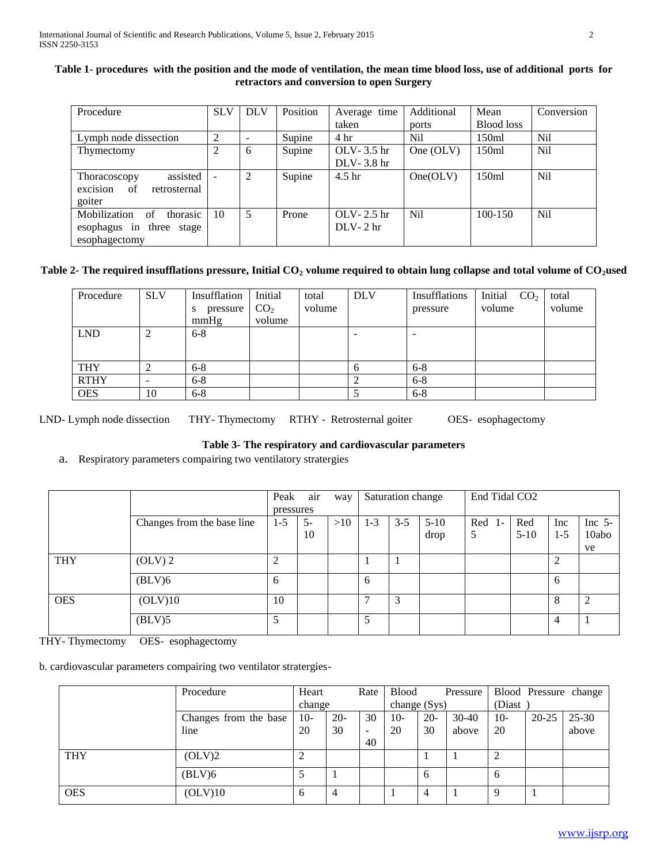| Table 1- procedures with the position and the mode of ventilation, the mean time blood loss, use of additional ports for |  |
|--------------------------------------------------------------------------------------------------------------------------|--|
| retractors and conversion to open Surgery                                                                                |  |

| Procedure                      | <b>SLV</b>     | <b>DLV</b> | Position | Average time      | Additional     | Mean              | Conversion      |
|--------------------------------|----------------|------------|----------|-------------------|----------------|-------------------|-----------------|
|                                |                |            |          | taken             | ports          | <b>Blood</b> loss |                 |
| Lymph node dissection          | 2              |            | Supine   | 4 <sup>hr</sup>   | Nil            | 150ml             | N <sub>il</sub> |
| Thymectomy                     | $\overline{c}$ | 6          | Supine   | OLV- $3.5$ hr     | One $(OLV)$    | 150ml             | N <sub>il</sub> |
|                                |                |            |          | $DLV-3.8$ hr      |                |                   |                 |
| assisted<br>Thoracoscopy       | $\blacksquare$ | 2          | Supine   | 4.5 <sub>hr</sub> | One(OLV)       | 150ml             | N <sub>il</sub> |
| excision<br>of<br>retrosternal |                |            |          |                   |                |                   |                 |
| goiter                         |                |            |          |                   |                |                   |                 |
| thorasic<br>Mobilization<br>of | -10            | 5          | Prone    | OLV-2.5 hr        | N <sub>i</sub> | 100-150           | N <sub>il</sub> |
| esophagus in three stage       |                |            |          | $DLV-2$ hr        |                |                   |                 |
| esophagectomy                  |                |            |          |                   |                |                   |                 |

# **Table 2- The required insufflations pressure, Initial CO<sup>2</sup> volume required to obtain lung collapse and total volume of CO2used**

| Procedure   | <b>SLV</b> | Insufflation<br>pressure<br>S<br>mmHg | Initial<br>CO <sub>2</sub><br>volume | total<br>volume | <b>DLV</b> | Insufflations<br>pressure | Initial<br>CO <sub>2</sub><br>volume | total<br>volume |
|-------------|------------|---------------------------------------|--------------------------------------|-----------------|------------|---------------------------|--------------------------------------|-----------------|
|             |            |                                       |                                      |                 |            |                           |                                      |                 |
| <b>LND</b>  |            | $6 - 8$                               |                                      |                 | -          |                           |                                      |                 |
|             |            |                                       |                                      |                 |            |                           |                                      |                 |
| <b>THY</b>  |            | $6 - 8$                               |                                      |                 | b          | $6 - 8$                   |                                      |                 |
| <b>RTHY</b> | -          | $6 - 8$                               |                                      |                 | ◠          | $6 - 8$                   |                                      |                 |
| <b>OES</b>  | 10         | $6 - 8$                               |                                      |                 |            | $6 - 8$                   |                                      |                 |

LND- Lymph node dissection THY- Thymectomy RTHY - Retrosternal goiter OES- esophagectomy

# **Table 3- The respiratory and cardiovascular parameters**

a. Respiratory parameters compairing two ventilatory stratergies

|            |                            | Peak      | air  | way |         | Saturation change |        | End Tidal CO <sub>2</sub> |        |                |           |
|------------|----------------------------|-----------|------|-----|---------|-------------------|--------|---------------------------|--------|----------------|-----------|
|            |                            | pressures |      |     |         |                   |        |                           |        |                |           |
|            | Changes from the base line | $1 - 5$   | $5-$ | >10 | $1 - 3$ | $3 - 5$           | $5-10$ | Red<br>$\mathbf{I}$       | Red    | Inc            | Inc $5$ - |
|            |                            |           | 10   |     |         |                   | drop   | 5                         | $5-10$ | $1 - 5$        | 10abo     |
|            |                            |           |      |     |         |                   |        |                           |        |                | ve        |
| <b>THY</b> | $OLV$ ) 2                  | 2         |      |     |         |                   |        |                           |        | 2              |           |
|            | (BLV)6                     | 6         |      |     | 6       |                   |        |                           |        | -6             |           |
| <b>OES</b> | (OLV)10                    | 10        |      |     | ┑       | 3                 |        |                           |        | 8              | ◠         |
|            | (BLV)5                     | 5         |      |     | 5       |                   |        |                           |        | $\overline{4}$ |           |

THY- Thymectomy OES- esophagectomy

b. cardiovascular parameters compairing two ventilator stratergies-

|            | Procedure             | Heart  |        | Rate                     | <b>Blood</b> |       | Pressure |              |           | Blood Pressure change |
|------------|-----------------------|--------|--------|--------------------------|--------------|-------|----------|--------------|-----------|-----------------------|
|            |                       | change |        |                          | change (Sys) |       |          | (Diast)      |           |                       |
|            | Changes from the base | $10-$  | $20 -$ | 30                       | $10-$        | $20-$ | $30-40$  | $10-$        | $20 - 25$ | $25 - 30$             |
|            | line                  | 20     | 30     | $\overline{\phantom{a}}$ | 20           | 30    | above    | 20           |           | above                 |
|            |                       |        |        | 40                       |              |       |          |              |           |                       |
| <b>THY</b> | (OLV)2                | ∍      |        |                          |              |       |          |              |           |                       |
|            | (BLV)6                |        |        |                          |              | 6     |          | <sub>b</sub> |           |                       |
| <b>OES</b> | (OLV)10               | 6      |        |                          |              | 4     |          |              |           |                       |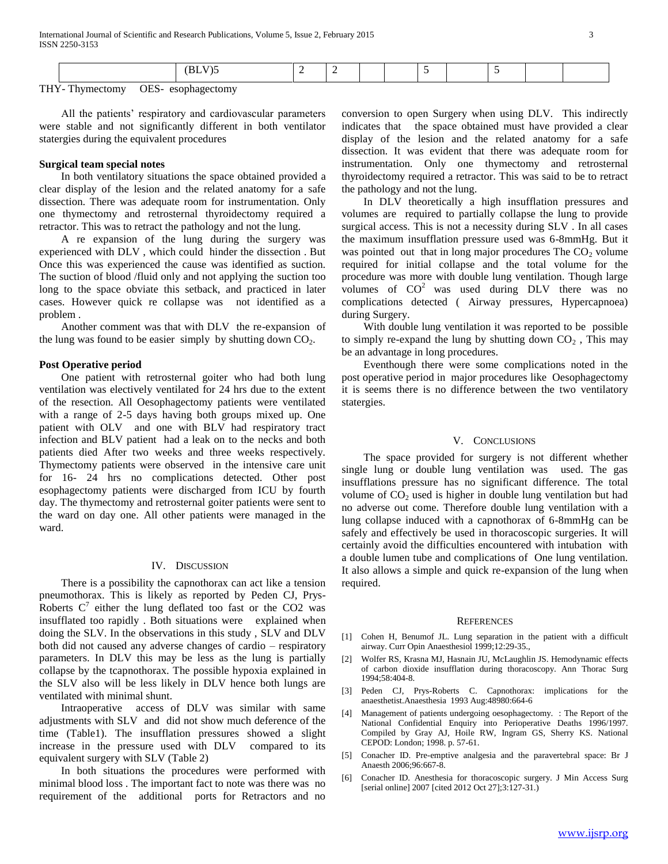|--|--|--|--|--|--|--|--|--|--|--|--|

THY- Thymectomy OES- esophagectomy

 All the patients' respiratory and cardiovascular parameters were stable and not significantly different in both ventilator statergies during the equivalent procedures

# **Surgical team special notes**

 In both ventilatory situations the space obtained provided a clear display of the lesion and the related anatomy for a safe dissection. There was adequate room for instrumentation. Only one thymectomy and retrosternal thyroidectomy required a retractor. This was to retract the pathology and not the lung.

 A re expansion of the lung during the surgery was experienced with DLV , which could hinder the dissection . But Once this was experienced the cause was identified as suction. The suction of blood /fluid only and not applying the suction too long to the space obviate this setback, and practiced in later cases. However quick re collapse was not identified as a problem .

 Another comment was that with DLV the re-expansion of the lung was found to be easier simply by shutting down  $CO<sub>2</sub>$ .

## **Post Operative period**

 One patient with retrosternal goiter who had both lung ventilation was electively ventilated for 24 hrs due to the extent of the resection. All Oesophagectomy patients were ventilated with a range of 2-5 days having both groups mixed up. One patient with OLV and one with BLV had respiratory tract infection and BLV patient had a leak on to the necks and both patients died After two weeks and three weeks respectively. Thymectomy patients were observed in the intensive care unit for 16- 24 hrs no complications detected. Other post esophagectomy patients were discharged from ICU by fourth day. The thymectomy and retrosternal goiter patients were sent to the ward on day one. All other patients were managed in the ward.

## IV. DISCUSSION

 There is a possibility the capnothorax can act like a tension pneumothorax. This is likely as reported by Peden CJ, Prys-Roberts  $C^7$  either the lung deflated too fast or the CO2 was insufflated too rapidly . Both situations were explained when doing the SLV. In the observations in this study , SLV and DLV both did not caused any adverse changes of cardio – respiratory parameters. In DLV this may be less as the lung is partially collapse by the tcapnothorax. The possible hypoxia explained in the SLV also will be less likely in DLV hence both lungs are ventilated with minimal shunt.

 Intraoperative access of DLV was similar with same adjustments with SLV and did not show much deference of the time (Table1). The insufflation pressures showed a slight increase in the pressure used with DLV compared to its equivalent surgery with SLV (Table 2)

 In both situations the procedures were performed with minimal blood loss . The important fact to note was there was no requirement of the additional ports for Retractors and no conversion to open Surgery when using DLV. This indirectly indicates that the space obtained must have provided a clear display of the lesion and the related anatomy for a safe dissection. It was evident that there was adequate room for instrumentation. Only one thymectomy and retrosternal thyroidectomy required a retractor. This was said to be to retract the pathology and not the lung.

 In DLV theoretically a high insufflation pressures and volumes are required to partially collapse the lung to provide surgical access. This is not a necessity during SLV . In all cases the maximum insufflation pressure used was 6-8mmHg. But it was pointed out that in long major procedures The  $CO<sub>2</sub>$  volume required for initial collapse and the total volume for the procedure was more with double lung ventilation. Though large volumes of  $CO<sup>2</sup>$  was used during DLV there was no complications detected ( Airway pressures, Hypercapnoea) during Surgery.

 With double lung ventilation it was reported to be possible to simply re-expand the lung by shutting down  $CO<sub>2</sub>$ , This may be an advantage in long procedures.

 Eventhough there were some complications noted in the post operative period in major procedures like Oesophagectomy it is seems there is no difference between the two ventilatory statergies.

#### V. CONCLUSIONS

 The space provided for surgery is not different whether single lung or double lung ventilation was used. The gas insufflations pressure has no significant difference. The total volume of  $CO<sub>2</sub>$  used is higher in double lung ventilation but had no adverse out come. Therefore double lung ventilation with a lung collapse induced with a capnothorax of 6-8mmHg can be safely and effectively be used in thoracoscopic surgeries. It will certainly avoid the difficulties encountered with intubation with a double lumen tube and complications of One lung ventilation. It also allows a simple and quick re-expansion of the lung when required.

## **REFERENCES**

- [1] Cohen H, Benumof JL. Lung separation in the patient with a difficult airway. Curr Opin Anaesthesiol 1999;12:29-35.,
- [2] Wolfer RS, Krasna MJ, Hasnain JU, McLaughlin JS. Hemodynamic effects of carbon dioxide insufflation during thoracoscopy. Ann Thorac Surg 1994;58:404-8.
- [3] Peden CJ, Prys-Roberts C. Capnothorax: implications for the anaesthetist.Anaesthesia 1993 Aug:48980:664-6
- [4] Management of patients undergoing oesophagectomy. : The Report of the National Confidential Enquiry into Perioperative Deaths 1996/1997. Compiled by Gray AJ, Hoile RW, Ingram GS, Sherry KS. National CEPOD: London; 1998. p. 57-61.
- [5] Conacher ID. Pre-emptive analgesia and the paravertebral space: Br J Anaesth 2006;96:667-8.
- [6] Conacher ID. Anesthesia for thoracoscopic surgery. J Min Access Surg [serial online] 2007 [cited 2012 Oct 27];3:127-31.)